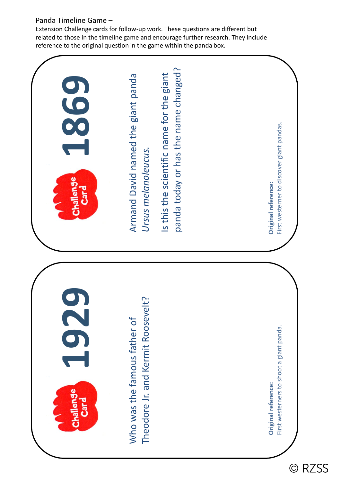## Panda Timeline Game –

Extension Challenge cards for follow-up work. These questions are different but related to those in the timeline game and encourage further research. They include reference to the original question in the game within the panda box.

| 1869<br>Challenge<br>$\frac{1}{2}$ | panda today or has the name changed?<br>Is this the scientific name for the giant<br>Armand David named the giant panda<br>Ursus melanoleucus. | First westerner to discover giant pandas.<br>Original reference: |
|------------------------------------|------------------------------------------------------------------------------------------------------------------------------------------------|------------------------------------------------------------------|
| $\bigcirc$<br>Challenge            | relt?<br>Theodore Jr. and Kermit Roosev<br>Who was the famous father of                                                                        | First westerners to shoot a giant panda.<br>Original reference:  |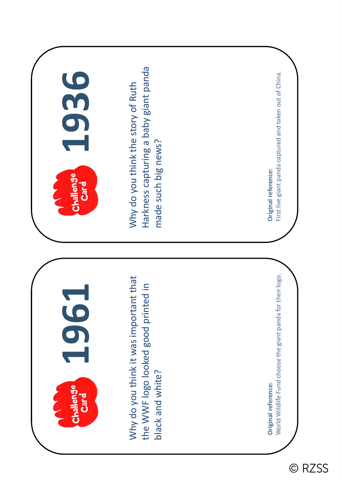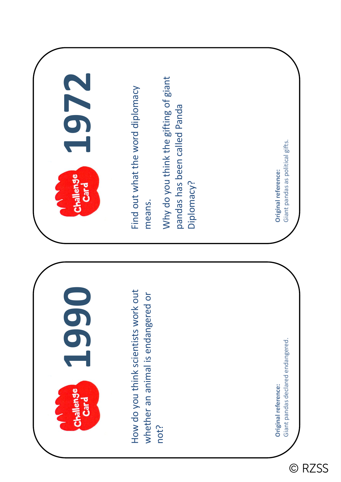| N<br>197<br>Challenge | Why do you think the gifting of giant<br>Find out what the word diplomacy<br>pandas has been called Panda<br>Diplomacy?<br>means. | Giant pandas as political gifts.<br>Original reference:  |
|-----------------------|-----------------------------------------------------------------------------------------------------------------------------------|----------------------------------------------------------|
| 109<br>Challenge      | out<br>br<br>How do you think scientists work<br>whether an animal is endangered<br>not?                                          | Giant pandas declared endangered.<br>Original reference: |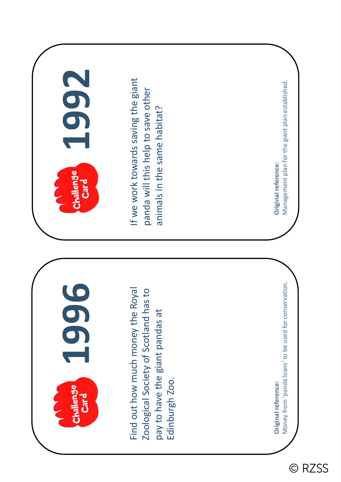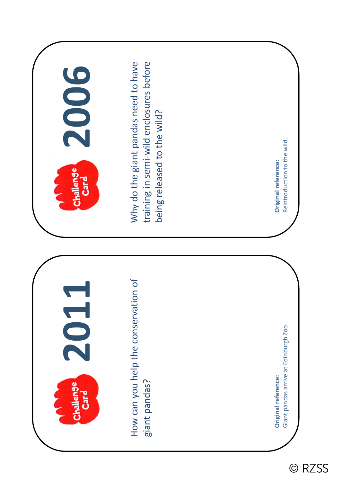| 2006<br>Challenge | training in semi-wild enclosures before<br>Why do the giant pandas need to have<br>being released to the wild? | Reintroduction to the wild.<br>Original reference:           |
|-------------------|----------------------------------------------------------------------------------------------------------------|--------------------------------------------------------------|
| 201<br>Challenge  | How can you help the conservation of<br>giant pandas?                                                          | Giant pandas arrive at Edinburgh Zoo.<br>Original reference: |